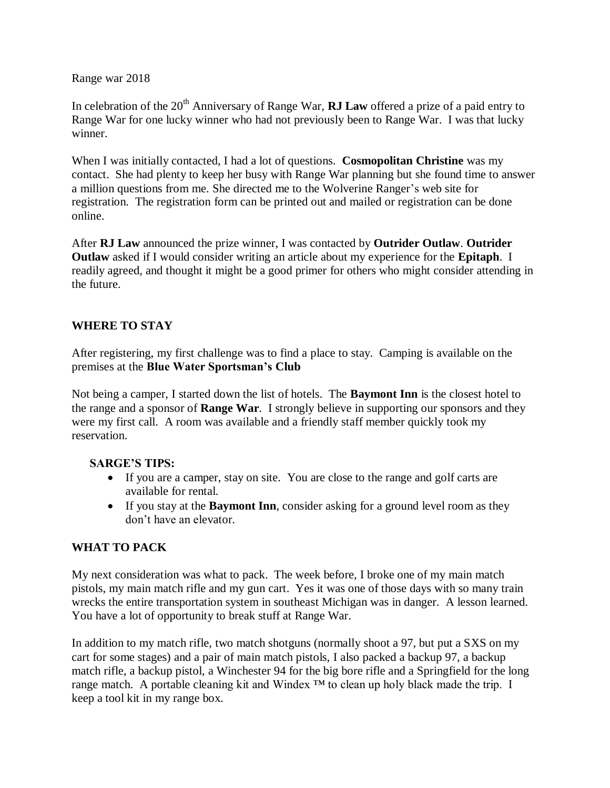Range war 2018

In celebration of the 20<sup>th</sup> Anniversary of Range War, **RJ Law** offered a prize of a paid entry to Range War for one lucky winner who had not previously been to Range War. I was that lucky winner.

When I was initially contacted, I had a lot of questions. **Cosmopolitan Christine** was my contact. She had plenty to keep her busy with Range War planning but she found time to answer a million questions from me. She directed me to the Wolverine Ranger's web site for registration. The registration form can be printed out and mailed or registration can be done online.

After **RJ Law** announced the prize winner, I was contacted by **Outrider Outlaw**. **Outrider Outlaw** asked if I would consider writing an article about my experience for the **Epitaph**. I readily agreed, and thought it might be a good primer for others who might consider attending in the future.

### **WHERE TO STAY**

After registering, my first challenge was to find a place to stay. Camping is available on the premises at the **Blue Water Sportsman's Club**

Not being a camper, I started down the list of hotels. The **Baymont Inn** is the closest hotel to the range and a sponsor of **Range War**. I strongly believe in supporting our sponsors and they were my first call. A room was available and a friendly staff member quickly took my reservation.

### **SARGE'S TIPS:**

- If you are a camper, stay on site. You are close to the range and golf carts are available for rental.
- If you stay at the **Baymont Inn**, consider asking for a ground level room as they don't have an elevator.

# **WHAT TO PACK**

My next consideration was what to pack. The week before, I broke one of my main match pistols, my main match rifle and my gun cart. Yes it was one of those days with so many train wrecks the entire transportation system in southeast Michigan was in danger. A lesson learned. You have a lot of opportunity to break stuff at Range War.

In addition to my match rifle, two match shotguns (normally shoot a 97, but put a SXS on my cart for some stages) and a pair of main match pistols, I also packed a backup 97, a backup match rifle, a backup pistol, a Winchester 94 for the big bore rifle and a Springfield for the long range match. A portable cleaning kit and Windex  $TM$  to clean up holy black made the trip. I keep a tool kit in my range box.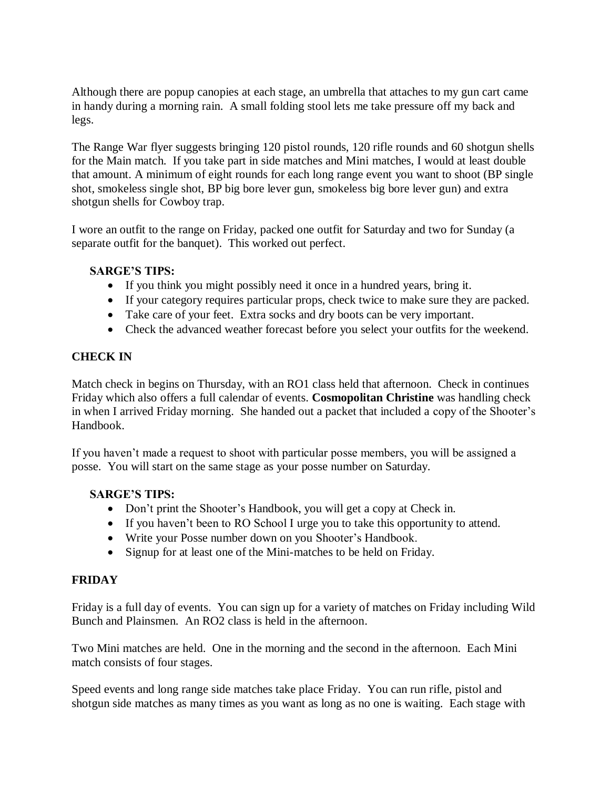Although there are popup canopies at each stage, an umbrella that attaches to my gun cart came in handy during a morning rain. A small folding stool lets me take pressure off my back and legs.

The Range War flyer suggests bringing 120 pistol rounds, 120 rifle rounds and 60 shotgun shells for the Main match. If you take part in side matches and Mini matches, I would at least double that amount. A minimum of eight rounds for each long range event you want to shoot (BP single shot, smokeless single shot, BP big bore lever gun, smokeless big bore lever gun) and extra shotgun shells for Cowboy trap.

I wore an outfit to the range on Friday, packed one outfit for Saturday and two for Sunday (a separate outfit for the banquet). This worked out perfect.

#### **SARGE'S TIPS:**

- If you think you might possibly need it once in a hundred years, bring it.
- If your category requires particular props, check twice to make sure they are packed.
- Take care of your feet. Extra socks and dry boots can be very important.
- Check the advanced weather forecast before you select your outfits for the weekend.

#### **CHECK IN**

Match check in begins on Thursday, with an RO1 class held that afternoon. Check in continues Friday which also offers a full calendar of events. **Cosmopolitan Christine** was handling check in when I arrived Friday morning. She handed out a packet that included a copy of the Shooter's Handbook.

If you haven't made a request to shoot with particular posse members, you will be assigned a posse. You will start on the same stage as your posse number on Saturday.

#### **SARGE'S TIPS:**

- Don't print the Shooter's Handbook, you will get a copy at Check in.
- If you haven't been to RO School I urge you to take this opportunity to attend.
- Write your Posse number down on you Shooter's Handbook.
- Signup for at least one of the Mini-matches to be held on Friday.

#### **FRIDAY**

Friday is a full day of events. You can sign up for a variety of matches on Friday including Wild Bunch and Plainsmen. An RO2 class is held in the afternoon.

Two Mini matches are held. One in the morning and the second in the afternoon. Each Mini match consists of four stages.

Speed events and long range side matches take place Friday. You can run rifle, pistol and shotgun side matches as many times as you want as long as no one is waiting. Each stage with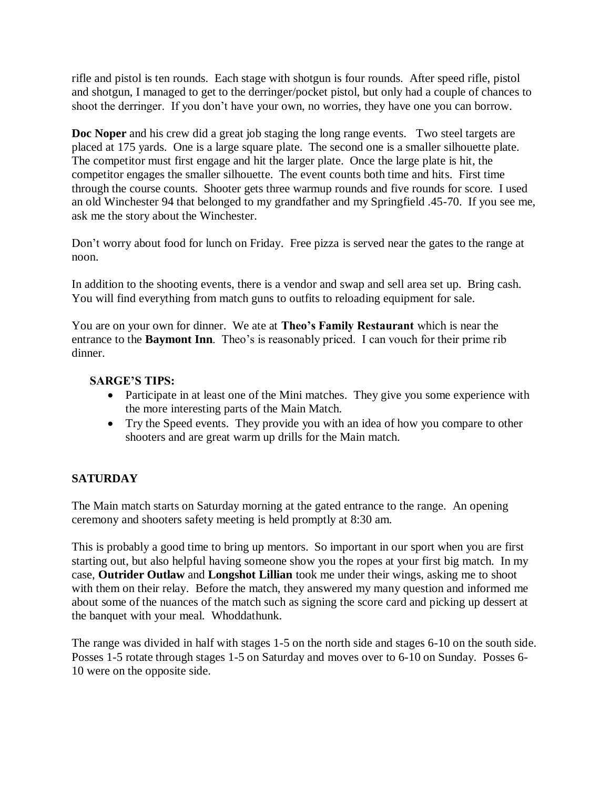rifle and pistol is ten rounds. Each stage with shotgun is four rounds. After speed rifle, pistol and shotgun, I managed to get to the derringer/pocket pistol, but only had a couple of chances to shoot the derringer. If you don't have your own, no worries, they have one you can borrow.

**Doc Noper** and his crew did a great job staging the long range events. Two steel targets are placed at 175 yards. One is a large square plate. The second one is a smaller silhouette plate. The competitor must first engage and hit the larger plate. Once the large plate is hit, the competitor engages the smaller silhouette. The event counts both time and hits. First time through the course counts. Shooter gets three warmup rounds and five rounds for score. I used an old Winchester 94 that belonged to my grandfather and my Springfield .45-70. If you see me, ask me the story about the Winchester.

Don't worry about food for lunch on Friday. Free pizza is served near the gates to the range at noon.

In addition to the shooting events, there is a vendor and swap and sell area set up. Bring cash. You will find everything from match guns to outfits to reloading equipment for sale.

You are on your own for dinner. We ate at **Theo's Family Restaurant** which is near the entrance to the **Baymont Inn**. Theo's is reasonably priced. I can vouch for their prime rib dinner.

### **SARGE'S TIPS:**

- Participate in at least one of the Mini matches. They give you some experience with the more interesting parts of the Main Match.
- Try the Speed events. They provide you with an idea of how you compare to other shooters and are great warm up drills for the Main match.

# **SATURDAY**

The Main match starts on Saturday morning at the gated entrance to the range. An opening ceremony and shooters safety meeting is held promptly at 8:30 am.

This is probably a good time to bring up mentors. So important in our sport when you are first starting out, but also helpful having someone show you the ropes at your first big match. In my case, **Outrider Outlaw** and **Longshot Lillian** took me under their wings, asking me to shoot with them on their relay. Before the match, they answered my many question and informed me about some of the nuances of the match such as signing the score card and picking up dessert at the banquet with your meal. Whoddathunk.

The range was divided in half with stages 1-5 on the north side and stages 6-10 on the south side. Posses 1-5 rotate through stages 1-5 on Saturday and moves over to 6-10 on Sunday. Posses 6- 10 were on the opposite side.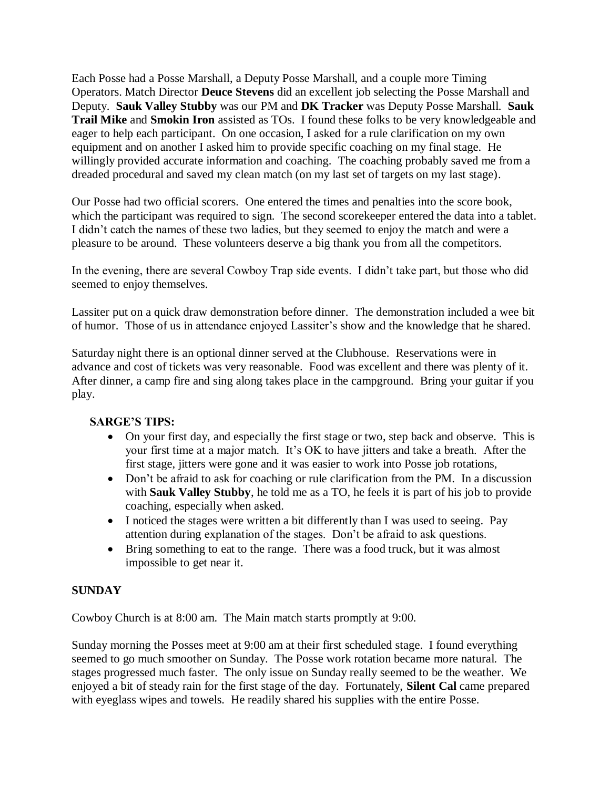Each Posse had a Posse Marshall, a Deputy Posse Marshall, and a couple more Timing Operators. Match Director **Deuce Stevens** did an excellent job selecting the Posse Marshall and Deputy. **Sauk Valley Stubby** was our PM and **DK Tracker** was Deputy Posse Marshall. **Sauk Trail Mike** and **Smokin Iron** assisted as TOs. I found these folks to be very knowledgeable and eager to help each participant. On one occasion, I asked for a rule clarification on my own equipment and on another I asked him to provide specific coaching on my final stage. He willingly provided accurate information and coaching. The coaching probably saved me from a dreaded procedural and saved my clean match (on my last set of targets on my last stage).

Our Posse had two official scorers. One entered the times and penalties into the score book, which the participant was required to sign. The second score keeper entered the data into a tablet. I didn't catch the names of these two ladies, but they seemed to enjoy the match and were a pleasure to be around. These volunteers deserve a big thank you from all the competitors.

In the evening, there are several Cowboy Trap side events. I didn't take part, but those who did seemed to enjoy themselves.

Lassiter put on a quick draw demonstration before dinner. The demonstration included a wee bit of humor. Those of us in attendance enjoyed Lassiter's show and the knowledge that he shared.

Saturday night there is an optional dinner served at the Clubhouse. Reservations were in advance and cost of tickets was very reasonable. Food was excellent and there was plenty of it. After dinner, a camp fire and sing along takes place in the campground. Bring your guitar if you play.

### **SARGE'S TIPS:**

- On your first day, and especially the first stage or two, step back and observe. This is your first time at a major match. It's OK to have jitters and take a breath. After the first stage, jitters were gone and it was easier to work into Posse job rotations,
- Don't be afraid to ask for coaching or rule clarification from the PM. In a discussion with **Sauk Valley Stubby**, he told me as a TO, he feels it is part of his job to provide coaching, especially when asked.
- I noticed the stages were written a bit differently than I was used to seeing. Pay attention during explanation of the stages. Don't be afraid to ask questions.
- Bring something to eat to the range. There was a food truck, but it was almost impossible to get near it.

#### **SUNDAY**

Cowboy Church is at 8:00 am. The Main match starts promptly at 9:00.

Sunday morning the Posses meet at 9:00 am at their first scheduled stage. I found everything seemed to go much smoother on Sunday. The Posse work rotation became more natural. The stages progressed much faster. The only issue on Sunday really seemed to be the weather. We enjoyed a bit of steady rain for the first stage of the day. Fortunately, **Silent Cal** came prepared with eyeglass wipes and towels. He readily shared his supplies with the entire Posse.